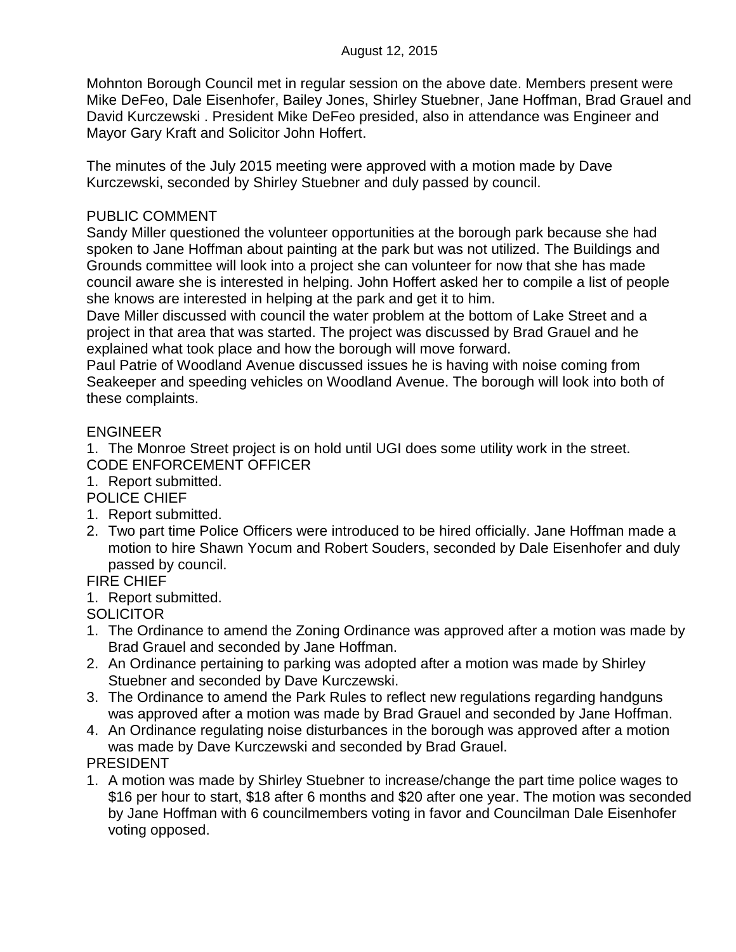Mohnton Borough Council met in regular session on the above date. Members present were Mike DeFeo, Dale Eisenhofer, Bailey Jones, Shirley Stuebner, Jane Hoffman, Brad Grauel and David Kurczewski . President Mike DeFeo presided, also in attendance was Engineer and Mayor Gary Kraft and Solicitor John Hoffert.

The minutes of the July 2015 meeting were approved with a motion made by Dave Kurczewski, seconded by Shirley Stuebner and duly passed by council.

## PUBLIC COMMENT

Sandy Miller questioned the volunteer opportunities at the borough park because she had spoken to Jane Hoffman about painting at the park but was not utilized. The Buildings and Grounds committee will look into a project she can volunteer for now that she has made council aware she is interested in helping. John Hoffert asked her to compile a list of people she knows are interested in helping at the park and get it to him.

Dave Miller discussed with council the water problem at the bottom of Lake Street and a project in that area that was started. The project was discussed by Brad Grauel and he explained what took place and how the borough will move forward.

Paul Patrie of Woodland Avenue discussed issues he is having with noise coming from Seakeeper and speeding vehicles on Woodland Avenue. The borough will look into both of these complaints.

## ENGINEER

1. The Monroe Street project is on hold until UGI does some utility work in the street. CODE ENFORCEMENT OFFICER

1. Report submitted.

POLICE CHIEF

- 1. Report submitted.
- 2. Two part time Police Officers were introduced to be hired officially. Jane Hoffman made a motion to hire Shawn Yocum and Robert Souders, seconded by Dale Eisenhofer and duly passed by council.

## FIRE CHIEF

1. Report submitted.

**SOLICITOR** 

- 1. The Ordinance to amend the Zoning Ordinance was approved after a motion was made by Brad Grauel and seconded by Jane Hoffman.
- 2. An Ordinance pertaining to parking was adopted after a motion was made by Shirley Stuebner and seconded by Dave Kurczewski.
- 3. The Ordinance to amend the Park Rules to reflect new regulations regarding handguns was approved after a motion was made by Brad Grauel and seconded by Jane Hoffman.
- 4. An Ordinance regulating noise disturbances in the borough was approved after a motion was made by Dave Kurczewski and seconded by Brad Grauel. PRESIDENT
- 1. A motion was made by Shirley Stuebner to increase/change the part time police wages to \$16 per hour to start, \$18 after 6 months and \$20 after one year. The motion was seconded by Jane Hoffman with 6 councilmembers voting in favor and Councilman Dale Eisenhofer voting opposed.